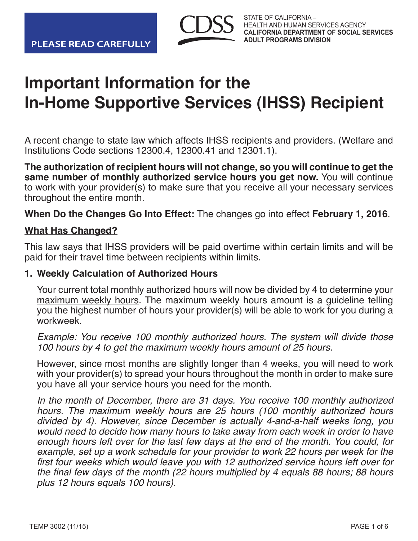

# **Important Information for the In-Home Supportive Services (IHSS) Recipient**

A recent change to state law which affects IHSS recipients and providers. (Welfare and Institutions Code sections 12300.4, 12300.41 and 12301.1).

**The authorization of recipient hours will not change, so you will continue to get the same number of monthly authorized service hours you get now.** You will continue to work with your provider(s) to make sure that you receive all your necessary services throughout the entire month.

**When Do the Changes Go Into Effect:** The changes go into effect **February 1, 2016**.

#### **What Has Changed?**

This law says that IHSS providers will be paid overtime within certain limits and will be paid for their travel time between recipients within limits.

#### **1. Weekly Calculation of Authorized Hours**

Your current total monthly authorized hours will now be divided by 4 to determine your maximum weekly hours. The maximum weekly hours amount is a guideline telling you the highest number of hours your provider(s) will be able to work for you during a workweek<sup>.</sup>

**Example:** You receive 100 monthly authorized hours. The system will divide those 100 hours by 4 to get the maximum weekly hours amount of 25 hours.

However, since most months are slightly longer than 4 weeks, you will need to work with your provider(s) to spread your hours throughout the month in order to make sure you have all your service hours you need for the month.

 In the month of December, there are 31 days. You receive 100 monthly authorized hours. The maximum weekly hours are 25 hours (100 monthly authorized hours divided by 4). However, since December is actually 4-and-a-half weeks long, you would need to decide how many hours to take away from each week in order to have enough hours left over for the last few days at the end of the month. You could, for example, set up a work schedule for your provider to work 22 hours per week for the first four weeks which would leave you with 12 authorized service hours left over for the final few days of the month ( $22$  hours multiplied by 4 equals 88 hours: 88 hours plus 12 hours equals 100 hours).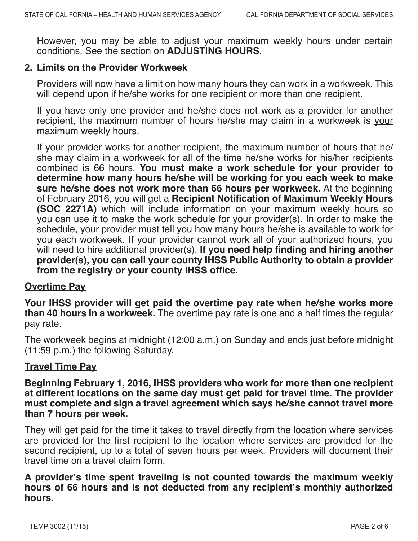However, you may be able to adjust your maximum weekly hours under certain conditions. See the section on **ADJUSTING HOURS**.

#### **2. Limits on the Provider Workweek**

Providers will now have a limit on how many hours they can work in a workweek. This will depend upon if he/she works for one recipient or more than one recipient.

If you have only one provider and he/she does not work as a provider for another recipient, the maximum number of hours he/she may claim in a workweek is your maximum weekly hours.

If your provider works for another recipient, the maximum number of hours that he/ she may claim in a workweek for all of the time he/she works for his/her recipients combined is 66 hours. **You must make a work schedule for your provider to determine how many hours he/she will be working for you each week to make sure he/she does not work more than 66 hours per workweek.** At the beginning of February 2016, you will get a **Recipient Notification of Maximum Weekly Hours (SOC 2271A)** which will include information on your maximum weekly hours so you can use it to make the work schedule for your provider(s). In order to make the schedule, your provider must tell you how many hours he/she is available to work for you each workweek. If your provider cannot work all of your authorized hours, you will need to hire additional provider(s). **If you need help finding and hiring another provider(s), you can call your county IHSS Public Authority to obtain a provider from the registry or your county IHSS office.**

#### **Overtime Pay**

**Your IHSS provider will get paid the overtime pay rate when he/she works more than 40 hours in a workweek.** The overtime pay rate is one and a half times the regular pay rate.

The workweek begins at midnight (12:00 a.m.) on Sunday and ends just before midnight (11:59 p.m.) the following Saturday.

## **Travel Time Pay**

**Beginning February 1, 2016, IHSS providers who work for more than one recipient at different locations on the same day must get paid for travel time. The provider must complete and sign a travel agreement which says he/she cannot travel more than 7 hours per week.**

They will get paid for the time it takes to travel directly from the location where services are provided for the first recipient to the location where services are provided for the second recipient, up to a total of seven hours per week. Providers will document their travel time on a travel claim form.

**A provider's time spent traveling is not counted towards the maximum weekly hours of 66 hours and is not deducted from any recipient's monthly authorized hours.**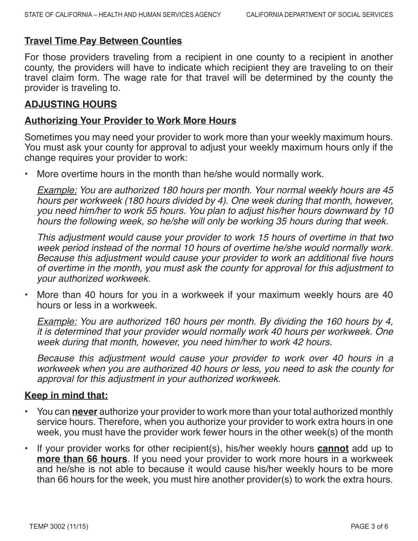#### **Travel Time Pay Between Counties**

For those providers traveling from a recipient in one county to a recipient in another county, the providers will have to indicate which recipient they are traveling to on their travel claim form. The wage rate for that travel will be determined by the county the provider is traveling to.

#### **ADJUSTING HOURS**

#### **Authorizing Your Provider to Work More Hours**

Sometimes you may need your provider to work more than your weekly maximum hours. You must ask your county for approval to adjust your weekly maximum hours only if the change requires your provider to work:

More overtime hours in the month than he/she would normally work.

**Example:** You are authorized 180 hours per month. Your normal weekly hours are 45 hours per workweek (180 hours divided by 4). One week during that month, however, you need him/her to work 55 hours. You plan to adjust his/her hours downward by 10 hours the following week, so he/she will only be working 35 hours during that week.

 This adjustment would cause your provider to work 15 hours of overtime in that two week period instead of the normal 10 hours of overtime he/she would normally work. Because this adjustment would cause your provider to work an additional five hours of overtime in the month, you must ask the county for approval for this adjustment to your authorized workweek.

• More than 40 hours for you in a workweek if your maximum weekly hours are 40 hours or less in a workweek.

**Example:** You are authorized 160 hours per month. By dividing the 160 hours by 4, it is determined that your provider would normally work 40 hours per workweek. One week during that month, however, you need him/her to work 42 hours.

 Because this adjustment would cause your provider to work over 40 hours in a workweek when you are authorized 40 hours or less, you need to ask the county for approval for this adjustment in your authorized workweek.

## **Keep in mind that:**

- You can **never** authorize your provider to work more than your total authorized monthly service hours. Therefore, when you authorize your provider to work extra hours in one week, you must have the provider work fewer hours in the other week(s) of the month
- If your provider works for other recipient(s), his/her weekly hours **cannot** add up to **more than 66 hours**. If you need your provider to work more hours in a workweek and he/she is not able to because it would cause his/her weekly hours to be more than 66 hours for the week, you must hire another provider(s) to work the extra hours.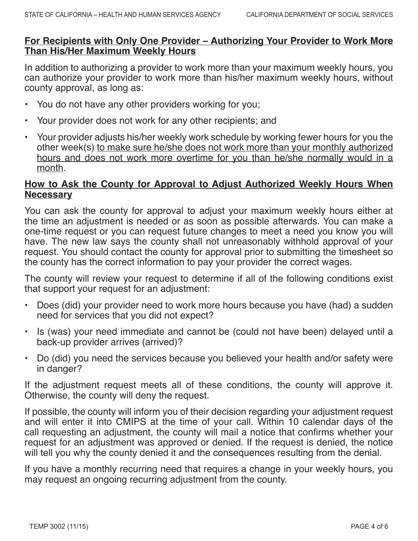#### **For Recipients with Only One Provider – Authorizing Your Provider to Work More Than His/Her Maximum Weekly Hours**

In addition to authorizing a provider to work more than your maximum weekly hours, you can authorize your provider to work more than his/her maximum weekly hours, without county approval, as long as:

- You do not have any other providers working for you;
- Your provider does not work for any other recipients; and
- Your provider adjusts his/her weekly work schedule by working fewer hours for you the other week(s) to make sure he/she does not work more than your monthly authorized hours and does not work more overtime for you than he/she normally would in a month.

#### **How to Ask the County for Approval to Adjust Authorized Weekly Hours When Necessary**

You can ask the county for approval to adjust your maximum weekly hours either at the time an adjustment is needed or as soon as possible afterwards. You can make a one-time request or you can request future changes to meet a need you know you will have. The new law says the county shall not unreasonably withhold approval of your request. You should contact the county for approval prior to submitting the timesheet so the county has the correct information to pay your provider the correct wages.

The county will review your request to determine if all of the following conditions exist that support your request for an adjustment:

- Does (did) your provider need to work more hours because you have (had) a sudden need for services that you did not expect?
- Is (was) your need immediate and cannot be (could not have been) delayed until a back-up provider arrives (arrived)?
- Do (did) you need the services because you believed your health and/or safety were in danger?

If the adjustment request meets all of these conditions, the county will approve it. Otherwise, the county will deny the request.

If possible, the county will inform you of their decision regarding your adjustment request and will enter it into CMIPS at the time of your call. Within 10 calendar days of the call requesting an adjustment, the county will mail a notice that confirms whether your request for an adjustment was approved or denied. If the request is denied, the notice will tell you why the county denied it and the consequences resulting from the denial.

If you have a monthly recurring need that requires a change in your weekly hours, you may request an ongoing recurring adjustment from the county.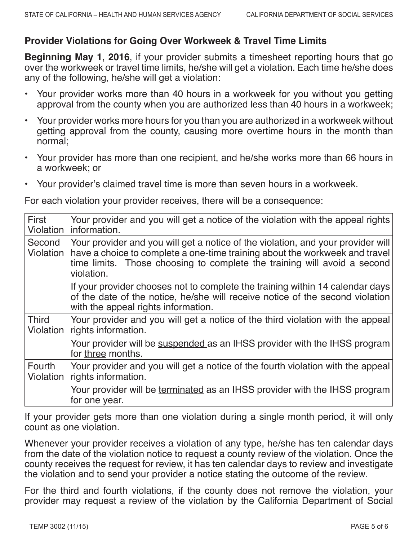# **Provider Violations for Going Over Workweek & Travel Time Limits**

**Beginning May 1, 2016**, if your provider submits a timesheet reporting hours that go over the workweek or travel time limits, he/she will get a violation. Each time he/she does any of the following, he/she will get a violation:

- Your provider works more than 40 hours in a workweek for you without you getting approval from the county when you are authorized less than 40 hours in a workweek;
- Your provider works more hours for you than you are authorized in a workweek without getting approval from the county, causing more overtime hours in the month than normal;
- Your provider has more than one recipient, and he/she works more than 66 hours in a workweek; or
- Your provider's claimed travel time is more than seven hours in a workweek.

For each violation your provider receives, there will be a consequence:

| <b>First</b><br>Violation | Your provider and you will get a notice of the violation with the appeal rights<br>l information.                                                                                                                                                         |
|---------------------------|-----------------------------------------------------------------------------------------------------------------------------------------------------------------------------------------------------------------------------------------------------------|
| Second<br>Violation       | Your provider and you will get a notice of the violation, and your provider will<br>have a choice to complete a one-time training about the workweek and travel<br>time limits. Those choosing to complete the training will avoid a second<br>violation. |
|                           | If your provider chooses not to complete the training within 14 calendar days<br>of the date of the notice, he/she will receive notice of the second violation<br>with the appeal rights information.                                                     |
| <b>Third</b><br>Violation | Your provider and you will get a notice of the third violation with the appeal<br>rights information.                                                                                                                                                     |
|                           | Your provider will be suspended as an IHSS provider with the IHSS program<br>for three months.                                                                                                                                                            |
| Fourth<br>Violation       | Your provider and you will get a notice of the fourth violation with the appeal<br>rights information.                                                                                                                                                    |
|                           | Your provider will be terminated as an IHSS provider with the IHSS program<br>for one year.                                                                                                                                                               |

If your provider gets more than one violation during a single month period, it will only count as one violation.

Whenever your provider receives a violation of any type, he/she has ten calendar days from the date of the violation notice to request a county review of the violation. Once the county receives the request for review, it has ten calendar days to review and investigate the violation and to send your provider a notice stating the outcome of the review.

For the third and fourth violations, if the county does not remove the violation, your provider may request a review of the violation by the California Department of Social